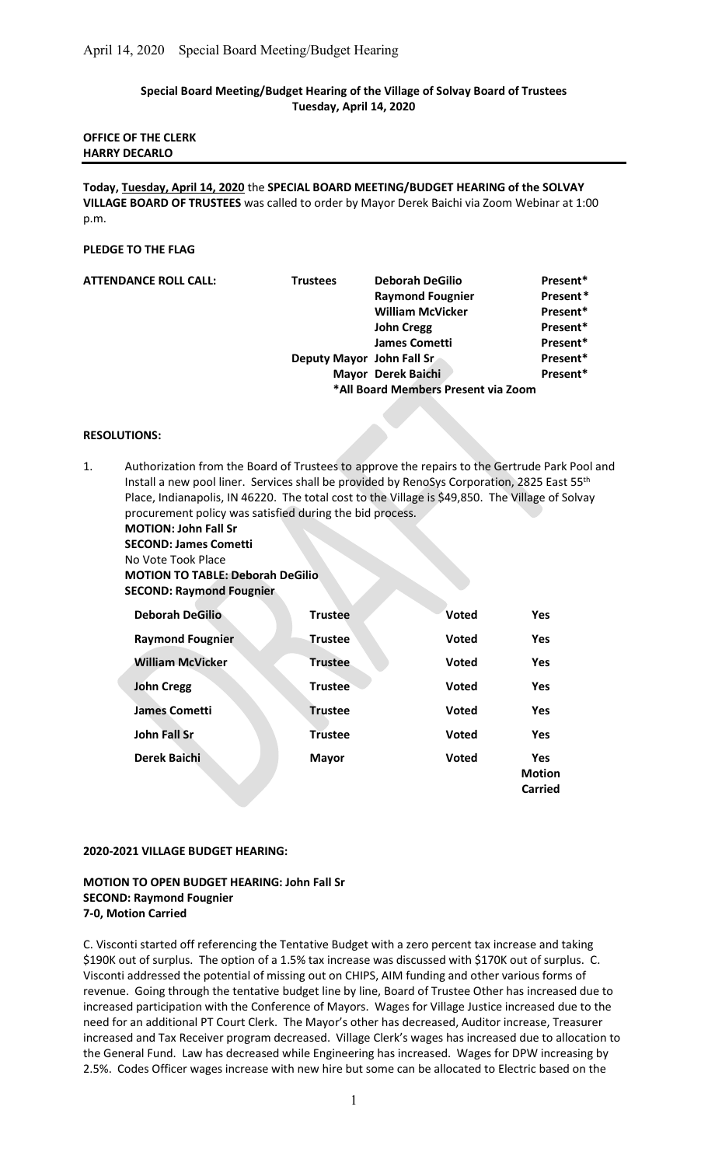# Special Board Meeting/Budget Hearing of the Village of Solvay Board of Trustees Tuesday, April 14, 2020

## OFFICE OF THE CLERK HARRY DECARLO

Today, Tuesday, April 14, 2020 the SPECIAL BOARD MEETING/BUDGET HEARING of the SOLVAY VILLAGE BOARD OF TRUSTEES was called to order by Mayor Derek Baichi via Zoom Webinar at 1:00 p.m.

## PLEDGE TO THE FLAG

| <b>ATTENDANCE ROLL CALL:</b> | <b>Trustees</b>                     | <b>Deborah DeGilio</b>    | Present* |
|------------------------------|-------------------------------------|---------------------------|----------|
|                              |                                     | <b>Raymond Fougnier</b>   | Present* |
|                              |                                     | <b>William McVicker</b>   | Present* |
|                              |                                     | <b>John Cregg</b>         | Present* |
|                              |                                     | <b>James Cometti</b>      | Present* |
|                              |                                     | Deputy Mayor John Fall Sr | Present* |
|                              |                                     | Mayor Derek Baichi        | Present* |
|                              | *All Board Members Present via Zoom |                           |          |

### RESOLUTIONS:

| Authorization from the Board of Trustees to approve the repairs to the Gertrude Park Pool and   |
|-------------------------------------------------------------------------------------------------|
| Install a new pool liner. Services shall be provided by RenoSys Corporation, 2825 East 55th     |
| Place, Indianapolis, IN 46220. The total cost to the Village is \$49,850. The Village of Solvay |
| procurement policy was satisfied during the bid process.                                        |
| <b>MOTION: John Fall Sr</b>                                                                     |

SECOND: James Cometti No Vote Took Place MOTION TO TABLE: Deborah DeGilio

SECOND: Raymond Fougnier

| <b>Deborah DeGilio</b>  | <b>Trustee</b> | <b>Voted</b> | Yes                                           |
|-------------------------|----------------|--------------|-----------------------------------------------|
| <b>Raymond Fougnier</b> | Trustee        | <b>Voted</b> | <b>Yes</b>                                    |
| <b>William McVicker</b> | <b>Trustee</b> | <b>Voted</b> | <b>Yes</b>                                    |
| <b>John Cregg</b>       | <b>Trustee</b> | <b>Voted</b> | Yes                                           |
| <b>James Cometti</b>    | <b>Trustee</b> | <b>Voted</b> | Yes                                           |
| <b>John Fall Sr</b>     | <b>Trustee</b> | <b>Voted</b> | <b>Yes</b>                                    |
| <b>Derek Baichi</b>     | <b>Mayor</b>   | <b>Voted</b> | <b>Yes</b><br><b>Motion</b><br><b>Carried</b> |

#### 2020-2021 VILLAGE BUDGET HEARING:

## MOTION TO OPEN BUDGET HEARING: John Fall Sr SECOND: Raymond Fougnier 7-0, Motion Carried

C. Visconti started off referencing the Tentative Budget with a zero percent tax increase and taking \$190K out of surplus. The option of a 1.5% tax increase was discussed with \$170K out of surplus. C. Visconti addressed the potential of missing out on CHIPS, AIM funding and other various forms of revenue. Going through the tentative budget line by line, Board of Trustee Other has increased due to increased participation with the Conference of Mayors. Wages for Village Justice increased due to the need for an additional PT Court Clerk. The Mayor's other has decreased, Auditor increase, Treasurer increased and Tax Receiver program decreased. Village Clerk's wages has increased due to allocation to the General Fund. Law has decreased while Engineering has increased. Wages for DPW increasing by 2.5%. Codes Officer wages increase with new hire but some can be allocated to Electric based on the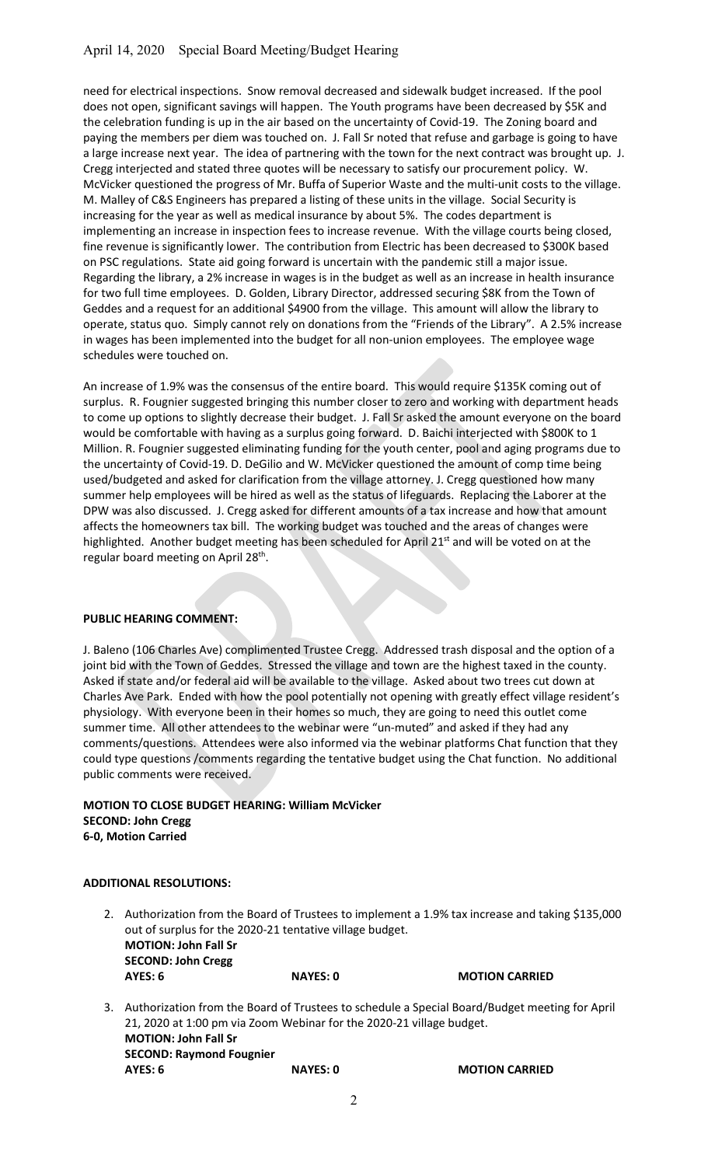need for electrical inspections. Snow removal decreased and sidewalk budget increased. If the pool does not open, significant savings will happen. The Youth programs have been decreased by \$5K and the celebration funding is up in the air based on the uncertainty of Covid-19. The Zoning board and paying the members per diem was touched on. J. Fall Sr noted that refuse and garbage is going to have a large increase next year. The idea of partnering with the town for the next contract was brought up. J. Cregg interjected and stated three quotes will be necessary to satisfy our procurement policy. W. McVicker questioned the progress of Mr. Buffa of Superior Waste and the multi-unit costs to the village. M. Malley of C&S Engineers has prepared a listing of these units in the village. Social Security is increasing for the year as well as medical insurance by about 5%. The codes department is implementing an increase in inspection fees to increase revenue. With the village courts being closed, fine revenue is significantly lower. The contribution from Electric has been decreased to \$300K based on PSC regulations. State aid going forward is uncertain with the pandemic still a major issue. Regarding the library, a 2% increase in wages is in the budget as well as an increase in health insurance for two full time employees. D. Golden, Library Director, addressed securing \$8K from the Town of Geddes and a request for an additional \$4900 from the village. This amount will allow the library to operate, status quo. Simply cannot rely on donations from the "Friends of the Library". A 2.5% increase in wages has been implemented into the budget for all non-union employees. The employee wage schedules were touched on.

An increase of 1.9% was the consensus of the entire board. This would require \$135K coming out of surplus. R. Fougnier suggested bringing this number closer to zero and working with department heads to come up options to slightly decrease their budget. J. Fall Sr asked the amount everyone on the board would be comfortable with having as a surplus going forward. D. Baichi interjected with \$800K to 1 Million. R. Fougnier suggested eliminating funding for the youth center, pool and aging programs due to the uncertainty of Covid-19. D. DeGilio and W. McVicker questioned the amount of comp time being used/budgeted and asked for clarification from the village attorney. J. Cregg questioned how many summer help employees will be hired as well as the status of lifeguards. Replacing the Laborer at the DPW was also discussed. J. Cregg asked for different amounts of a tax increase and how that amount affects the homeowners tax bill. The working budget was touched and the areas of changes were highlighted. Another budget meeting has been scheduled for April 21<sup>st</sup> and will be voted on at the regular board meeting on April 28<sup>th</sup>.

## PUBLIC HEARING COMMENT:

J. Baleno (106 Charles Ave) complimented Trustee Cregg. Addressed trash disposal and the option of a joint bid with the Town of Geddes. Stressed the village and town are the highest taxed in the county. Asked if state and/or federal aid will be available to the village. Asked about two trees cut down at Charles Ave Park. Ended with how the pool potentially not opening with greatly effect village resident's physiology. With everyone been in their homes so much, they are going to need this outlet come summer time. All other attendees to the webinar were "un-muted" and asked if they had any comments/questions. Attendees were also informed via the webinar platforms Chat function that they could type questions /comments regarding the tentative budget using the Chat function. No additional public comments were received.

MOTION TO CLOSE BUDGET HEARING: William McVicker SECOND: John Cregg 6-0, Motion Carried

#### ADDITIONAL RESOLUTIONS:

- 2. Authorization from the Board of Trustees to implement a 1.9% tax increase and taking \$135,000 out of surplus for the 2020-21 tentative village budget. MOTION: John Fall Sr SECOND: John Cregg AYES: 6 NAYES: 0 MOTION CARRIED
- 3. Authorization from the Board of Trustees to schedule a Special Board/Budget meeting for April 21, 2020 at 1:00 pm via Zoom Webinar for the 2020-21 village budget. MOTION: John Fall Sr SECOND: Raymond Fougnier AYES: 6 NAYES: 0 MOTION CARRIED